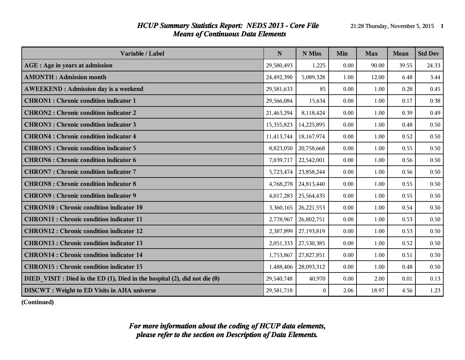#### *HCUP Summary Statistics Report: NEDS 2013 - Core File* 21:28 Thursday, November 5, 2015 1 *Means of Continuous Data Elements*

| Variable / Label                                                           | N          | N Miss       | Min  | <b>Max</b> | Mean  | <b>Std Dev</b> |
|----------------------------------------------------------------------------|------------|--------------|------|------------|-------|----------------|
| AGE : Age in years at admission                                            | 29,580,493 | 1,225        | 0.00 | 90.00      | 39.55 | 24.33          |
| <b>AMONTH: Admission month</b>                                             | 24,492,390 | 5,089,328    | 1.00 | 12.00      | 6.48  | 3.44           |
| <b>AWEEKEND: Admission day is a weekend</b>                                | 29,581,633 | 85           | 0.00 | 1.00       | 0.28  | 0.45           |
| <b>CHRON1</b> : Chronic condition indicator 1                              | 29,566,084 | 15,634       | 0.00 | 1.00       | 0.17  | 0.38           |
| <b>CHRON2: Chronic condition indicator 2</b>                               | 21,463,294 | 8,118,424    | 0.00 | 1.00       | 0.39  | 0.49           |
| <b>CHRON3: Chronic condition indicator 3</b>                               | 15,355,823 | 14,225,895   | 0.00 | 1.00       | 0.48  | 0.50           |
| <b>CHRON4</b> : Chronic condition indicator 4                              | 11,413,744 | 18,167,974   | 0.00 | 1.00       | 0.52  | 0.50           |
| <b>CHRON5: Chronic condition indicator 5</b>                               | 8,823,050  | 20,758,668   | 0.00 | 1.00       | 0.55  | 0.50           |
| <b>CHRON6: Chronic condition indicator 6</b>                               | 7,039,717  | 22,542,001   | 0.00 | 1.00       | 0.56  | 0.50           |
| <b>CHRON7: Chronic condition indicator 7</b>                               | 5,723,474  | 23,858,244   | 0.00 | 1.00       | 0.56  | 0.50           |
| <b>CHRON8: Chronic condition indicator 8</b>                               | 4,768,278  | 24,813,440   | 0.00 | 1.00       | 0.55  | 0.50           |
| <b>CHRON9: Chronic condition indicator 9</b>                               | 4,017,283  | 25,564,435   | 0.00 | 1.00       | 0.55  | 0.50           |
| <b>CHRON10 : Chronic condition indicator 10</b>                            | 3,360,165  | 26, 221, 553 | 0.00 | 1.00       | 0.54  | 0.50           |
| <b>CHRON11 : Chronic condition indicator 11</b>                            | 2,778,967  | 26,802,751   | 0.00 | 1.00       | 0.53  | 0.50           |
| <b>CHRON12: Chronic condition indicator 12</b>                             | 2,387,899  | 27,193,819   | 0.00 | 1.00       | 0.53  | 0.50           |
| <b>CHRON13 : Chronic condition indicator 13</b>                            | 2,051,333  | 27,530,385   | 0.00 | 1.00       | 0.52  | 0.50           |
| <b>CHRON14 : Chronic condition indicator 14</b>                            | 1,753,867  | 27,827,851   | 0.00 | 1.00       | 0.51  | 0.50           |
| <b>CHRON15 : Chronic condition indicator 15</b>                            | 1,488,406  | 28,093,312   | 0.00 | 1.00       | 0.48  | 0.50           |
| DIED_VISIT : Died in the ED (1), Died in the hospital (2), did not die (0) | 29,540,748 | 40,970       | 0.00 | 2.00       | 0.01  | 0.13           |
| <b>DISCWT</b> : Weight to ED Visits in AHA universe                        | 29,581,718 | $\Omega$     | 2.06 | 18.97      | 4.56  | 1.23           |

**(Continued)**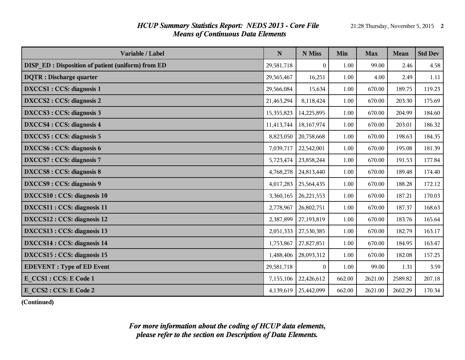# *HCUP Summary Statistics Report: NEDS 2013 - Core File* 21:28 Thursday, November 5, 2015 2 *Means of Continuous Data Elements*

| Variable / Label                                  | $\mathbf N$ | N Miss           | Min      | <b>Max</b> | <b>Mean</b> | <b>Std Dev</b> |
|---------------------------------------------------|-------------|------------------|----------|------------|-------------|----------------|
| DISP_ED: Disposition of patient (uniform) from ED | 29,581,718  | $\boldsymbol{0}$ | 1.00     | 99.00      | 2.46        | 4.58           |
| <b>DQTR</b> : Discharge quarter                   | 29,565,467  | 16,251           | 1.00     | 4.00       | 2.49        | 1.11           |
| DXCCS1 : CCS: diagnosis 1                         | 29,566,084  | 15,634           | 1.00     | 670.00     | 189.75      | 119.23         |
| DXCCS2 : CCS: diagnosis 2                         | 21,463,294  | 8,118,424        | 1.00     | 670.00     | 203.30      | 175.69         |
| DXCCS3 : CCS: diagnosis 3                         | 15,355,823  | 14,225,895       | 1.00     | 670.00     | 204.99      | 184.60         |
| DXCCS4 : CCS: diagnosis 4                         | 11,413,744  | 18,167,974       | 1.00     | 670.00     | 203.01      | 186.32         |
| DXCCS5 : CCS: diagnosis 5                         | 8,823,050   | 20,758,668       | 1.00     | 670.00     | 198.63      | 184.35         |
| DXCCS6 : CCS: diagnosis 6                         | 7,039,717   | 22,542,001       | 1.00     | 670.00     | 195.08      | 181.39         |
| DXCCS7: CCS: diagnosis 7                          | 5,723,474   | 23,858,244       | 1.00     | 670.00     | 191.53      | 177.84         |
| DXCCS8 : CCS: diagnosis 8                         | 4,768,278   | 24,813,440       | 1.00     | 670.00     | 189.48      | 174.40         |
| DXCCS9 : CCS: diagnosis 9                         | 4,017,283   | 25,564,435       | 1.00     | 670.00     | 188.28      | 172.12         |
| <b>DXCCS10: CCS: diagnosis 10</b>                 | 3,360,165   | 26, 221, 553     | 1.00     | 670.00     | 187.21      | 170.03         |
| DXCCS11 : CCS: diagnosis 11                       | 2,778,967   | 26,802,751       | 1.00     | 670.00     | 187.37      | 168.63         |
| DXCCS12 : CCS: diagnosis 12                       | 2,387,899   | 27,193,819       | $1.00\,$ | 670.00     | 183.76      | 165.64         |
| DXCCS13 : CCS: diagnosis 13                       | 2,051,333   | 27,530,385       | 1.00     | 670.00     | 182.79      | 163.17         |
| DXCCS14 : CCS: diagnosis 14                       | 1,753,867   | 27,827,851       | 1.00     | 670.00     | 184.95      | 163.47         |
| DXCCS15 : CCS: diagnosis 15                       | 1,488,406   | 28,093,312       | 1.00     | 670.00     | 182.08      | 157.25         |
| <b>EDEVENT</b> : Type of ED Event                 | 29,581,718  | $\theta$         | 1.00     | 99.00      | 1.31        | 3.59           |
| E CCS1 : CCS: E Code 1                            | 7,155,106   | 22,426,612       | 662.00   | 2621.00    | 2589.82     | 207.18         |
| E CCS2 : CCS: E Code 2                            | 4,139,619   | 25,442,099       | 662.00   | 2621.00    | 2602.29     | 170.34         |

**(Continued)**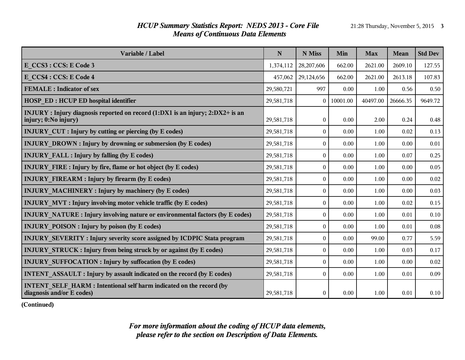# *HCUP Summary Statistics Report: NEDS 2013 - Core File* 21:28 Thursday, November 5, 2015 3 *Means of Continuous Data Elements*

| Variable / Label                                                                                        | $\mathbf N$ | N Miss           | Min      | <b>Max</b> | <b>Mean</b> | <b>Std Dev</b> |
|---------------------------------------------------------------------------------------------------------|-------------|------------------|----------|------------|-------------|----------------|
| E CCS3 : CCS: E Code 3                                                                                  | 1,374,112   | 28,207,606       | 662.00   | 2621.00    | 2609.10     | 127.55         |
| E CCS4 : CCS: E Code 4                                                                                  | 457,062     | 29,124,656       | 662.00   | 2621.00    | 2613.18     | 107.83         |
| <b>FEMALE</b> : Indicator of sex                                                                        | 29,580,721  | 997              | 0.00     | 1.00       | 0.56        | 0.50           |
| <b>HOSP ED: HCUP ED hospital identifier</b>                                                             | 29,581,718  | $\theta$         | 10001.00 | 40497.00   | 26666.35    | 9649.72        |
| INJURY : Injury diagnosis reported on record (1:DX1 is an injury; 2:DX2+ is an<br>injury; 0:No injury)  | 29,581,718  | $\mathbf{0}$     | 0.00     | 2.00       | 0.24        | 0.48           |
| <b>INJURY CUT : Injury by cutting or piercing (by E codes)</b>                                          | 29,581,718  | $\boldsymbol{0}$ | 0.00     | 1.00       | 0.02        | 0.13           |
| <b>INJURY DROWN : Injury by drowning or submersion (by E codes)</b>                                     | 29,581,718  | $\theta$         | 0.00     | 1.00       | 0.00        | 0.01           |
| <b>INJURY FALL : Injury by falling (by E codes)</b>                                                     | 29,581,718  | $\boldsymbol{0}$ | 0.00     | 1.00       | 0.07        | 0.25           |
| <b>INJURY FIRE: Injury by fire, flame or hot object (by E codes)</b>                                    | 29,581,718  | $\theta$         | 0.00     | 1.00       | 0.00        | 0.05           |
| <b>INJURY FIREARM : Injury by firearm (by E codes)</b>                                                  | 29,581,718  | $\boldsymbol{0}$ | 0.00     | 1.00       | 0.00        | 0.02           |
| <b>INJURY MACHINERY: Injury by machinery (by E codes)</b>                                               | 29,581,718  | $\theta$         | 0.00     | 1.00       | 0.00        | 0.03           |
| <b>INJURY MVT: Injury involving motor vehicle traffic (by E codes)</b>                                  | 29,581,718  | $\overline{0}$   | 0.00     | 1.00       | 0.02        | 0.15           |
| <b>INJURY NATURE:</b> Injury involving nature or environmental factors (by E codes)                     | 29,581,718  | $\theta$         | 0.00     | 1.00       | 0.01        | $0.10\,$       |
| <b>INJURY POISON: Injury by poison (by E codes)</b>                                                     | 29,581,718  | $\boldsymbol{0}$ | 0.00     | 1.00       | 0.01        | 0.08           |
| INJURY SEVERITY: Injury severity score assigned by ICDPIC Stata program                                 | 29,581,718  | $\theta$         | 0.00     | 99.00      | 0.77        | 5.59           |
| <b>INJURY STRUCK: Injury from being struck by or against (by E codes)</b>                               | 29,581,718  | $\boldsymbol{0}$ | 0.00     | 1.00       | 0.03        | 0.17           |
| <b>INJURY SUFFOCATION : Injury by suffocation (by E codes)</b>                                          | 29,581,718  | $\theta$         | 0.00     | 1.00       | 0.00        | 0.02           |
| <b>INTENT ASSAULT : Injury by assault indicated on the record (by E codes)</b>                          | 29,581,718  | $\theta$         | 0.00     | 1.00       | 0.01        | 0.09           |
| <b>INTENT SELF HARM: Intentional self harm indicated on the record (by</b><br>diagnosis and/or E codes) | 29,581,718  | $\boldsymbol{0}$ | 0.00     | 1.00       | 0.01        | 0.10           |

**(Continued)**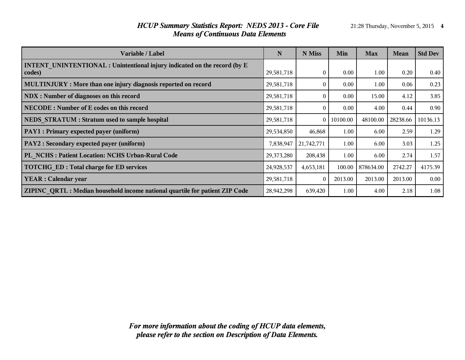# *HCUP Summary Statistics Report: NEDS 2013 - Core File* 21:28 Thursday, November 5, 2015 4 *Means of Continuous Data Elements*

| Variable / Label                                                                           | N          | N Miss         | Min      | <b>Max</b> | Mean     | <b>Std Dev</b> |
|--------------------------------------------------------------------------------------------|------------|----------------|----------|------------|----------|----------------|
| <b>INTENT UNINTENTIONAL : Unintentional injury indicated on the record (by E</b><br>codes) | 29,581,718 | $\theta$       | 0.00     | 1.00       | 0.20     | 0.40           |
| MULTINJURY : More than one injury diagnosis reported on record                             | 29,581,718 | $\theta$       | 0.00     | 1.00       | 0.06     | 0.23           |
| NDX : Number of diagnoses on this record                                                   | 29,581,718 | $\theta$       | 0.00     | 15.00      | 4.12     | 3.85           |
| <b>NECODE:</b> Number of E codes on this record                                            | 29,581,718 | $\Omega$       | 0.00     | 4.00       | 0.44     | 0.90           |
| NEDS STRATUM : Stratum used to sample hospital                                             | 29,581,718 | 0 <sup>1</sup> | 10100.00 | 48100.00   | 28238.66 | 10136.13       |
| PAY1 : Primary expected payer (uniform)                                                    | 29,534,850 | 46,868         | 1.00     | 6.00       | 2.59     | 1.29           |
| PAY2 : Secondary expected payer (uniform)                                                  | 7,838,947  | 21,742,771     | 1.00     | 6.00       | 3.03     | 1.25           |
| PL NCHS: Patient Location: NCHS Urban-Rural Code                                           | 29,373,280 | 208,438        | 1.00     | 6.00       | 2.74     | 1.57           |
| <b>TOTCHG ED: Total charge for ED services</b>                                             | 24,928,537 | 4,653,181      | 100.00   | 878634.00  | 2742.27  | 4175.39        |
| <b>YEAR</b> : Calendar year                                                                | 29,581,718 | $\theta$       | 2013.00  | 2013.00    | 2013.00  | 0.00           |
| ZIPINC QRTL: Median household income national quartile for patient ZIP Code                | 28,942,298 | 639,420        | 1.00     | 4.00       | 2.18     | 1.08           |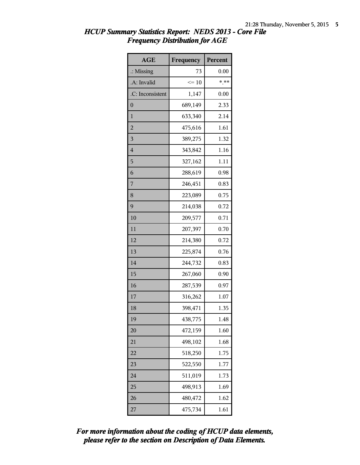| <b>AGE</b>           | Frequency | Percent |
|----------------------|-----------|---------|
| $\therefore$ Missing | 73        | 0.00    |
| .A: Invalid          | $\leq 10$ | $*$ **  |
| .C: Inconsistent     | 1,147     | 0.00    |
| $\overline{0}$       | 689,149   | 2.33    |
| $\mathbf{1}$         | 633,340   | 2.14    |
| $\overline{2}$       | 475,616   | 1.61    |
| 3                    | 389,275   | 1.32    |
| $\overline{4}$       | 343,842   | 1.16    |
| 5                    | 327,162   | 1.11    |
| 6                    | 288,619   | 0.98    |
| 7                    | 246,451   | 0.83    |
| 8                    | 223,089   | 0.75    |
| 9                    | 214,038   | 0.72    |
| 10                   | 209,577   | 0.71    |
| 11                   | 207,397   | 0.70    |
| 12                   | 214,380   | 0.72    |
| 13                   | 225,874   | 0.76    |
| 14                   | 244,732   | 0.83    |
| 15                   | 267,060   | 0.90    |
| 16                   | 287,539   | 0.97    |
| 17                   | 316,262   | 1.07    |
| 18                   | 398,471   | 1.35    |
| 19                   | 438,775   | 1.48    |
| 20                   | 472,159   | 1.60    |
| 21                   | 498,102   | 1.68    |
| 22                   | 518,250   | 1.75    |
| 23                   | 522,550   | 1.77    |
| 24                   | 511,019   | 1.73    |
| 25                   | 498,913   | 1.69    |
| 26                   | 480,472   | 1.62    |
| 27                   | 475,734   | 1.61    |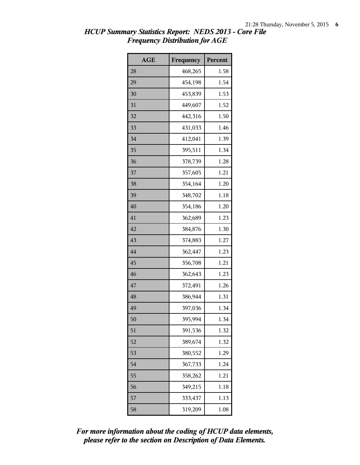| <b>AGE</b> | Frequency | Percent |
|------------|-----------|---------|
| 28         | 468,265   | 1.58    |
| 29         | 454,198   | 1.54    |
| 30         | 453,839   | 1.53    |
| 31         | 449,607   | 1.52    |
| 32         | 442,316   | 1.50    |
| 33         | 431,033   | 1.46    |
| 34         | 412,041   | 1.39    |
| 35         | 395,511   | 1.34    |
| 36         | 378,739   | 1.28    |
| 37         | 357,605   | 1.21    |
| 38         | 354,164   | 1.20    |
| 39         | 348,702   | 1.18    |
| 40         | 354,186   | 1.20    |
| 41         | 362,689   | 1.23    |
| 42         | 384,876   | 1.30    |
| 43         | 374,883   | 1.27    |
| 44         | 362,447   | 1.23    |
| 45         | 356,708   | 1.21    |
| 46         | 362,643   | 1.23    |
| 47         | 372,491   | 1.26    |
| 48         | 386,944   | 1.31    |
| 49         | 397,036   | 1.34    |
| 50         | 395,994   | 1.34    |
| 51         | 391,536   | 1.32    |
| 52         | 389,674   | 1.32    |
| 53         | 380,552   | 1.29    |
| 54         | 367,733   | 1.24    |
| 55         | 358,262   | 1.21    |
| 56         | 349,215   | 1.18    |
| 57         | 333,437   | 1.13    |
| 58         | 319,209   | 1.08    |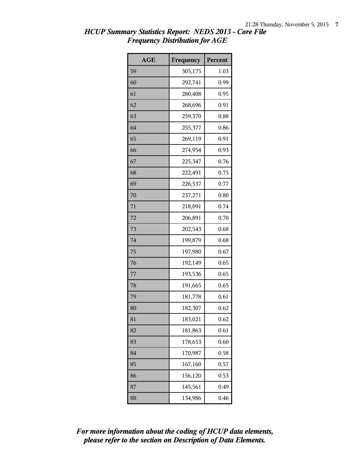| <b>AGE</b> | Frequency | Percent |
|------------|-----------|---------|
| 59         | 305,175   | 1.03    |
| 60         | 292,741   | 0.99    |
| 61         | 280,408   | 0.95    |
| 62         | 268,696   | 0.91    |
| 63         | 259,370   | 0.88    |
| 64         | 255,377   | 0.86    |
| 65         | 269,119   | 0.91    |
| 66         | 274,954   | 0.93    |
| 67         | 225,347   | 0.76    |
| 68         | 222,491   | 0.75    |
| 69         | 226,537   | 0.77    |
| 70         | 237,271   | 0.80    |
| 71         | 218,091   | 0.74    |
| 72         | 206,891   | 0.70    |
| 73         | 202,543   | 0.68    |
| 74         | 199,879   | 0.68    |
| 75         | 197,980   | 0.67    |
| 76         | 192,149   | 0.65    |
| 77         | 193,536   | 0.65    |
| 78         | 191,665   | 0.65    |
| 79         | 181,778   | 0.61    |
| 80         | 182,307   | 0.62    |
| 81         | 183,021   | 0.62    |
| 82         | 181,863   | 0.61    |
| 83         | 178,653   | 0.60    |
| 84         | 170,987   | 0.58    |
| 85         | 167,160   | 0.57    |
| 86         | 156,120   | 0.53    |
| 87         | 145,561   | 0.49    |
| 88         | 134,986   | 0.46    |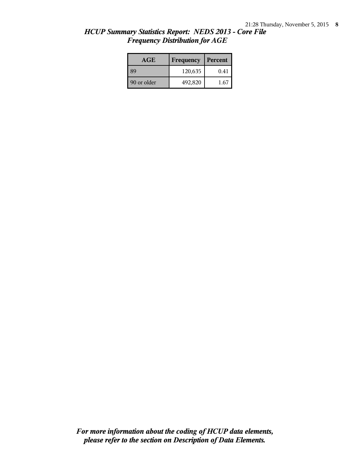| <b>AGE</b>  | Frequency | Percent |
|-------------|-----------|---------|
| 39          | 120,635   | 0.41    |
| 90 or older | 492,820   | 1.67    |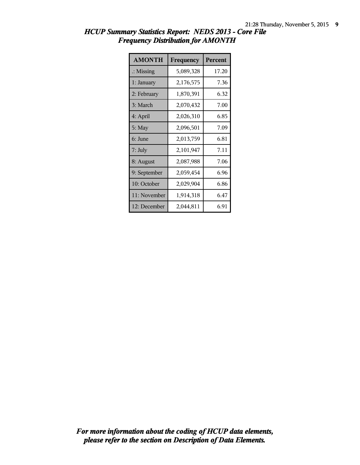| <b>AMONTH</b>        | Frequency | <b>Percent</b> |
|----------------------|-----------|----------------|
| $\therefore$ Missing | 5,089,328 | 17.20          |
| 1: January           | 2,176,575 | 7.36           |
| 2: February          | 1,870,391 | 6.32           |
| 3: March             | 2,070,432 | 7.00           |
| 4: April             | 2,026,310 | 6.85           |
| 5: May               | 2,096,501 | 7.09           |
| 6: June              | 2,013,759 | 6.81           |
| 7: July              | 2,101,947 | 7.11           |
| 8: August            | 2,087,988 | 7.06           |
| 9: September         | 2,059,454 | 6.96           |
| 10: October          | 2,029,904 | 6.86           |
| 11: November         | 1,914,318 | 6.47           |
| 12: December         | 2,044,811 | 6.91           |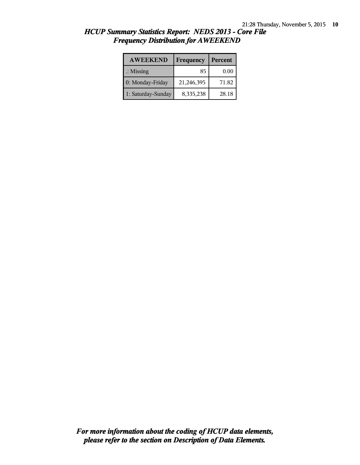| <b>AWEEKEND</b>      | Frequency  | Percent  |
|----------------------|------------|----------|
| $\therefore$ Missing | 85         | $0.00\,$ |
| 0: Monday-Friday     | 21,246,395 | 71.82    |
| 1: Saturday-Sunday   | 8,335,238  | 28.18    |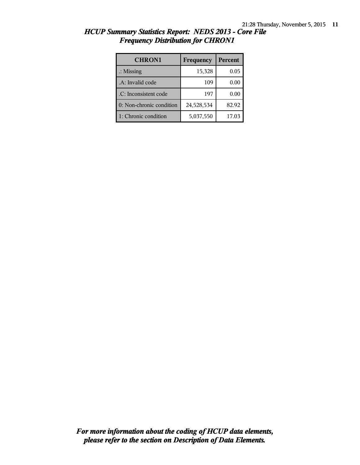| <b>CHRON1</b>            | Frequency  | Percent |
|--------------------------|------------|---------|
| $\therefore$ Missing     | 15,328     | 0.05    |
| .A: Invalid code         | 109        | 0.00    |
| .C: Inconsistent code    | 197        | 0.00    |
| 0: Non-chronic condition | 24,528,534 | 82.92   |
| 1: Chronic condition     | 5,037,550  | 17.03   |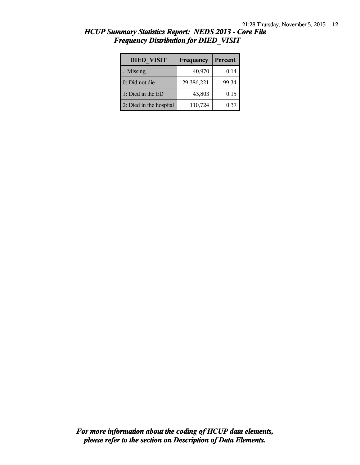| <b>DIED VISIT</b>       | Frequency  | <b>Percent</b> |
|-------------------------|------------|----------------|
| $\therefore$ Missing    | 40,970     | 0.14           |
| 0: Did not die          | 29,386,221 | 99.34          |
| 1: Died in the ED       | 43,803     | 0.15           |
| 2: Died in the hospital | 110,724    | 0.37           |

| HCUP Summary Statistics Report: NEDS 2013 - Core File |  |  |
|-------------------------------------------------------|--|--|
| <b>Frequency Distribution for DIED VISIT</b>          |  |  |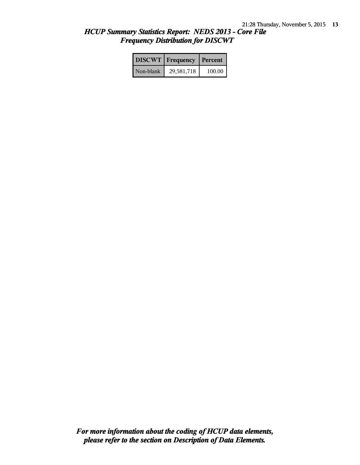|           | <b>DISCWT</b>   Frequency   Percent |        |
|-----------|-------------------------------------|--------|
| Non-blank | 29,581,718                          | 100.00 |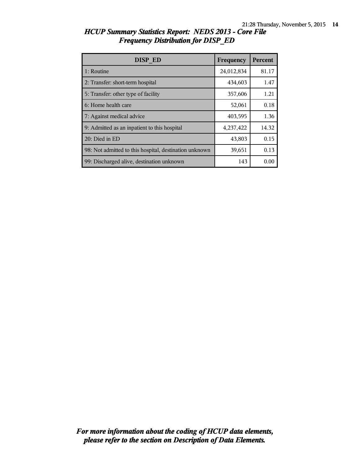| <b>DISP ED</b>                                         | Frequency  | Percent |
|--------------------------------------------------------|------------|---------|
| 1: Routine                                             | 24,012,834 | 81.17   |
| 2: Transfer: short-term hospital                       | 434,603    | 1.47    |
| 5: Transfer: other type of facility                    | 357,606    | 1.21    |
| 6: Home health care                                    | 52,061     | 0.18    |
| 7: Against medical advice                              | 403,595    | 1.36    |
| 9: Admitted as an inpatient to this hospital           | 4,237,422  | 14.32   |
| 20: Died in ED                                         | 43,803     | 0.15    |
| 98: Not admitted to this hospital, destination unknown | 39,651     | 0.13    |
| 99: Discharged alive, destination unknown              | 143        | 0.00    |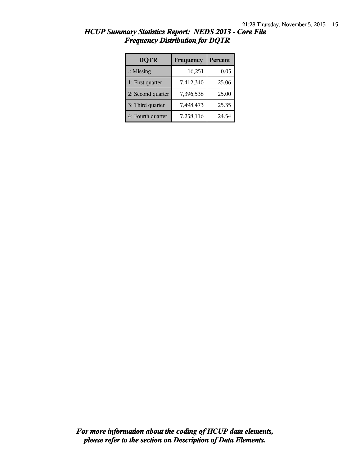| <b>DQTR</b>          | Frequency | Percent |
|----------------------|-----------|---------|
| $\therefore$ Missing | 16,251    | 0.05    |
| 1: First quarter     | 7,412,340 | 25.06   |
| 2: Second quarter    | 7,396,538 | 25.00   |
| 3: Third quarter     | 7,498,473 | 25.35   |
| 4: Fourth quarter    | 7,258,116 | 24.54   |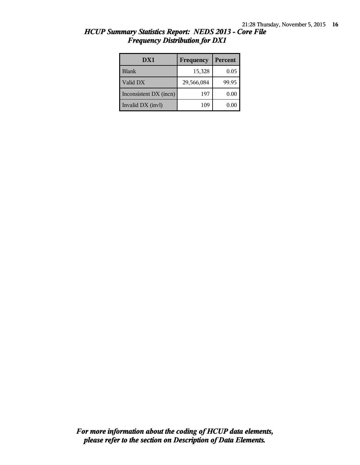| DX1                    | Frequency  | Percent |
|------------------------|------------|---------|
| <b>Blank</b>           | 15,328     | 0.05    |
| Valid DX               | 29,566,084 | 99.95   |
| Inconsistent DX (incn) | 197        | 0.00    |
| Invalid DX (invl)      | 109        | 0.00    |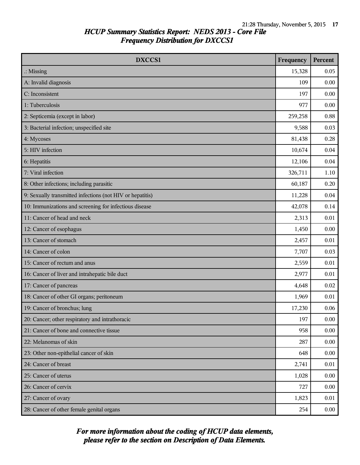| DXCCS1                                                    | Frequency | Percent |
|-----------------------------------------------------------|-----------|---------|
| $\therefore$ Missing                                      | 15,328    | 0.05    |
| A: Invalid diagnosis                                      | 109       | 0.00    |
| C: Inconsistent                                           | 197       | 0.00    |
| 1: Tuberculosis                                           | 977       | 0.00    |
| 2: Septicemia (except in labor)                           | 259,258   | 0.88    |
| 3: Bacterial infection; unspecified site                  | 9,588     | 0.03    |
| 4: Mycoses                                                | 81,438    | 0.28    |
| 5: HIV infection                                          | 10,674    | 0.04    |
| 6: Hepatitis                                              | 12,106    | 0.04    |
| 7: Viral infection                                        | 326,711   | 1.10    |
| 8: Other infections; including parasitic                  | 60,187    | 0.20    |
| 9: Sexually transmitted infections (not HIV or hepatitis) | 11,228    | 0.04    |
| 10: Immunizations and screening for infectious disease    | 42,078    | 0.14    |
| 11: Cancer of head and neck                               | 2,313     | 0.01    |
| 12: Cancer of esophagus                                   | 1,450     | 0.00    |
| 13: Cancer of stomach                                     | 2,457     | 0.01    |
| 14: Cancer of colon                                       | 7,707     | 0.03    |
| 15: Cancer of rectum and anus                             | 2,559     | 0.01    |
| 16: Cancer of liver and intrahepatic bile duct            | 2,977     | 0.01    |
| 17: Cancer of pancreas                                    | 4,648     | 0.02    |
| 18: Cancer of other GI organs; peritoneum                 | 1,969     | 0.01    |
| 19: Cancer of bronchus; lung                              | 17,230    | 0.06    |
| 20: Cancer; other respiratory and intrathoracic           | 197       | 0.00    |
| 21: Cancer of bone and connective tissue                  | 958       | 0.00    |
| 22: Melanomas of skin                                     | 287       | 0.00    |
| 23: Other non-epithelial cancer of skin                   | 648       | 0.00    |
| 24: Cancer of breast                                      | 2,741     | 0.01    |
| 25: Cancer of uterus                                      | 1,028     | 0.00    |
| 26: Cancer of cervix                                      | 727       | 0.00    |
| 27: Cancer of ovary                                       | 1,823     | 0.01    |
| 28: Cancer of other female genital organs                 | 254       | 0.00    |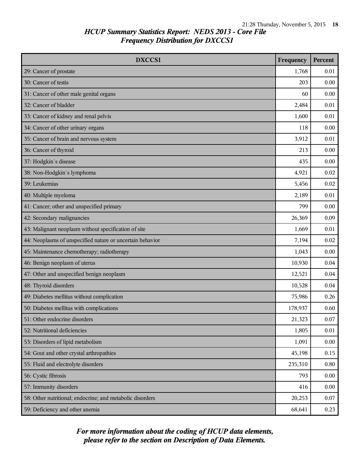| DXCCS1                                                    | Frequency | <b>Percent</b> |
|-----------------------------------------------------------|-----------|----------------|
| 29: Cancer of prostate                                    | 1,768     | 0.01           |
| 30: Cancer of testis                                      | 203       | 0.00           |
| 31: Cancer of other male genital organs                   | 60        | 0.00           |
| 32: Cancer of bladder                                     | 2,484     | 0.01           |
| 33: Cancer of kidney and renal pelvis                     | 1,600     | 0.01           |
| 34: Cancer of other urinary organs                        | 118       | 0.00           |
| 35: Cancer of brain and nervous system                    | 3,912     | 0.01           |
| 36: Cancer of thyroid                                     | 213       | 0.00           |
| 37: Hodgkin's disease                                     | 435       | 0.00           |
| 38: Non-Hodgkin's lymphoma                                | 4,921     | 0.02           |
| 39: Leukemias                                             | 5,456     | 0.02           |
| 40: Multiple myeloma                                      | 2,189     | 0.01           |
| 41: Cancer; other and unspecified primary                 | 799       | 0.00           |
| 42: Secondary malignancies                                | 26,369    | 0.09           |
| 43: Malignant neoplasm without specification of site      | 1,669     | 0.01           |
| 44: Neoplasms of unspecified nature or uncertain behavior | 7,194     | 0.02           |
| 45: Maintenance chemotherapy; radiotherapy                | 1,043     | 0.00           |
| 46: Benign neoplasm of uterus                             | 10,930    | 0.04           |
| 47: Other and unspecified benign neoplasm                 | 12,521    | 0.04           |
| 48: Thyroid disorders                                     | 10,528    | 0.04           |
| 49: Diabetes mellitus without complication                | 75,986    | 0.26           |
| 50: Diabetes mellitus with complications                  | 178,937   | 0.60           |
| 51: Other endocrine disorders                             | 21,323    | 0.07           |
| 52: Nutritional deficiencies                              | 1,805     | 0.01           |
| 53: Disorders of lipid metabolism                         | 1,091     | 0.00           |
| 54: Gout and other crystal arthropathies                  | 45,198    | 0.15           |
| 55: Fluid and electrolyte disorders                       | 235,310   | 0.80           |
| 56: Cystic fibrosis                                       | 793       | 0.00           |
| 57: Immunity disorders                                    | 416       | 0.00           |
| 58: Other nutritional; endocrine; and metabolic disorders | 20,253    | 0.07           |
| 59: Deficiency and other anemia                           | 68,641    | 0.23           |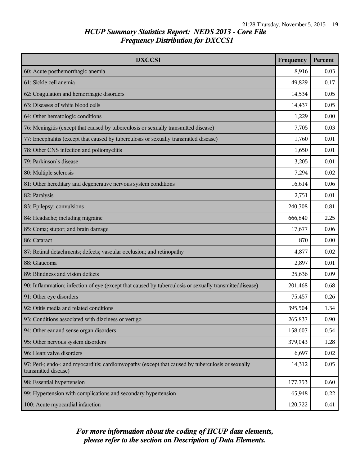| DXCCS1                                                                                                                    | Frequency | Percent |
|---------------------------------------------------------------------------------------------------------------------------|-----------|---------|
| 60: Acute posthemorrhagic anemia                                                                                          | 8,916     | 0.03    |
| 61: Sickle cell anemia                                                                                                    | 49,829    | 0.17    |
| 62: Coagulation and hemorrhagic disorders                                                                                 | 14,534    | 0.05    |
| 63: Diseases of white blood cells                                                                                         | 14,437    | 0.05    |
| 64: Other hematologic conditions                                                                                          | 1,229     | 0.00    |
| 76: Meningitis (except that caused by tuberculosis or sexually transmitted disease)                                       | 7,705     | 0.03    |
| 77: Encephalitis (except that caused by tuberculosis or sexually transmitted disease)                                     | 1,760     | 0.01    |
| 78: Other CNS infection and poliomyelitis                                                                                 | 1,650     | 0.01    |
| 79: Parkinson's disease                                                                                                   | 3,205     | 0.01    |
| 80: Multiple sclerosis                                                                                                    | 7,294     | 0.02    |
| 81: Other hereditary and degenerative nervous system conditions                                                           | 16,614    | 0.06    |
| 82: Paralysis                                                                                                             | 2,751     | 0.01    |
| 83: Epilepsy; convulsions                                                                                                 | 240,708   | 0.81    |
| 84: Headache; including migraine                                                                                          | 666,840   | 2.25    |
| 85: Coma; stupor; and brain damage                                                                                        | 17,677    | 0.06    |
| 86: Cataract                                                                                                              | 870       | 0.00    |
| 87: Retinal detachments; defects; vascular occlusion; and retinopathy                                                     | 4,877     | 0.02    |
| 88: Glaucoma                                                                                                              | 2,897     | 0.01    |
| 89: Blindness and vision defects                                                                                          | 25,636    | 0.09    |
| 90: Inflammation; infection of eye (except that caused by tuberculosis or sexually transmitteddisease)                    | 201,468   | 0.68    |
| 91: Other eye disorders                                                                                                   | 75,457    | 0.26    |
| 92: Otitis media and related conditions                                                                                   | 395,504   | 1.34    |
| 93: Conditions associated with dizziness or vertigo                                                                       | 265,837   | 0.90    |
| 94: Other ear and sense organ disorders                                                                                   | 158,607   | 0.54    |
| 95: Other nervous system disorders                                                                                        | 379,043   | 1.28    |
| 96: Heart valve disorders                                                                                                 | 6,697     | 0.02    |
| 97: Peri-; endo-; and myocarditis; cardiomyopathy (except that caused by tuberculosis or sexually<br>transmitted disease) | 14,312    | 0.05    |
| 98: Essential hypertension                                                                                                | 177,753   | 0.60    |
| 99: Hypertension with complications and secondary hypertension                                                            | 65,948    | 0.22    |
| 100: Acute myocardial infarction                                                                                          | 120,722   | 0.41    |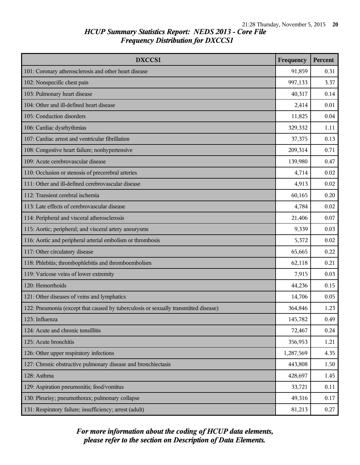| DXCCS1                                                                              | Frequency | <b>Percent</b> |
|-------------------------------------------------------------------------------------|-----------|----------------|
| 101: Coronary atherosclerosis and other heart disease                               | 91,859    | 0.31           |
| 102: Nonspecific chest pain                                                         | 997,133   | 3.37           |
| 103: Pulmonary heart disease                                                        | 40,317    | 0.14           |
| 104: Other and ill-defined heart disease                                            | 2,414     | 0.01           |
| 105: Conduction disorders                                                           | 11,825    | 0.04           |
| 106: Cardiac dysrhythmias                                                           | 329,332   | 1.11           |
| 107: Cardiac arrest and ventricular fibrillation                                    | 37,375    | 0.13           |
| 108: Congestive heart failure; nonhypertensive                                      | 209,314   | 0.71           |
| 109: Acute cerebrovascular disease                                                  | 139,980   | 0.47           |
| 110: Occlusion or stenosis of precerebral arteries                                  | 4,714     | 0.02           |
| 111: Other and ill-defined cerebrovascular disease                                  | 4,913     | 0.02           |
| 112: Transient cerebral ischemia                                                    | 60,165    | 0.20           |
| 113: Late effects of cerebrovascular disease                                        | 4,784     | 0.02           |
| 114: Peripheral and visceral atherosclerosis                                        | 21,406    | 0.07           |
| 115: Aortic; peripheral; and visceral artery aneurysms                              | 9,339     | 0.03           |
| 116: Aortic and peripheral arterial embolism or thrombosis                          | 5,372     | 0.02           |
| 117: Other circulatory disease                                                      | 65,665    | 0.22           |
| 118: Phlebitis; thrombophlebitis and thromboembolism                                | 62,118    | 0.21           |
| 119: Varicose veins of lower extremity                                              | 7,915     | 0.03           |
| 120: Hemorrhoids                                                                    | 44,236    | 0.15           |
| 121: Other diseases of veins and lymphatics                                         | 14,706    | 0.05           |
| 122: Pneumonia (except that caused by tuberculosis or sexually transmitted disease) | 364,846   | 1.23           |
| 123: Influenza                                                                      | 145,782   | 0.49           |
| 124: Acute and chronic tonsillitis                                                  | 72,467    | 0.24           |
| 125: Acute bronchitis                                                               | 356,953   | 1.21           |
| 126: Other upper respiratory infections                                             | 1,287,569 | 4.35           |
| 127: Chronic obstructive pulmonary disease and bronchiectasis                       | 443,808   | 1.50           |
| 128: Asthma                                                                         | 428,697   | 1.45           |
| 129: Aspiration pneumonitis; food/vomitus                                           | 33,721    | 0.11           |
| 130: Pleurisy; pneumothorax; pulmonary collapse                                     | 49,316    | 0.17           |
| 131: Respiratory failure; insufficiency; arrest (adult)                             | 81,213    | 0.27           |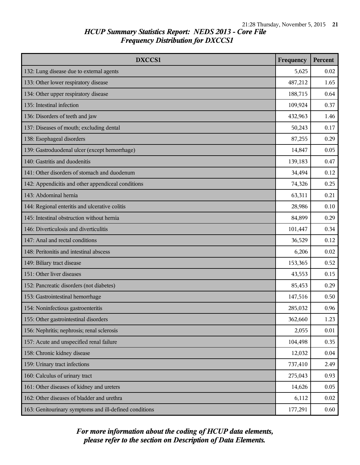| <b>DXCCS1</b>                                          | Frequency | <b>Percent</b> |
|--------------------------------------------------------|-----------|----------------|
| 132: Lung disease due to external agents               | 5,625     | 0.02           |
| 133: Other lower respiratory disease                   | 487,212   | 1.65           |
| 134: Other upper respiratory disease                   | 188,715   | 0.64           |
| 135: Intestinal infection                              | 109,924   | 0.37           |
| 136: Disorders of teeth and jaw                        | 432,963   | 1.46           |
| 137: Diseases of mouth; excluding dental               | 50,243    | 0.17           |
| 138: Esophageal disorders                              | 87,255    | 0.29           |
| 139: Gastroduodenal ulcer (except hemorrhage)          | 14,847    | 0.05           |
| 140: Gastritis and duodenitis                          | 139,183   | 0.47           |
| 141: Other disorders of stomach and duodenum           | 34,494    | 0.12           |
| 142: Appendicitis and other appendiceal conditions     | 74,326    | 0.25           |
| 143: Abdominal hernia                                  | 63,311    | 0.21           |
| 144: Regional enteritis and ulcerative colitis         | 28,986    | 0.10           |
| 145: Intestinal obstruction without hernia             | 84,899    | 0.29           |
| 146: Diverticulosis and diverticulitis                 | 101,447   | 0.34           |
| 147: Anal and rectal conditions                        | 36,529    | 0.12           |
| 148: Peritonitis and intestinal abscess                | 6,206     | 0.02           |
| 149: Biliary tract disease                             | 153,365   | 0.52           |
| 151: Other liver diseases                              | 43,553    | 0.15           |
| 152: Pancreatic disorders (not diabetes)               | 85,453    | 0.29           |
| 153: Gastrointestinal hemorrhage                       | 147,516   | 0.50           |
| 154: Noninfectious gastroenteritis                     | 285,032   | 0.96           |
| 155: Other gastrointestinal disorders                  | 362,660   | 1.23           |
| 156: Nephritis; nephrosis; renal sclerosis             | 2,055     | 0.01           |
| 157: Acute and unspecified renal failure               | 104,498   | 0.35           |
| 158: Chronic kidney disease                            | 12,032    | 0.04           |
| 159: Urinary tract infections                          | 737,410   | 2.49           |
| 160: Calculus of urinary tract                         | 275,043   | 0.93           |
| 161: Other diseases of kidney and ureters              | 14,626    | 0.05           |
| 162: Other diseases of bladder and urethra             | 6,112     | 0.02           |
| 163: Genitourinary symptoms and ill-defined conditions | 177,291   | 0.60           |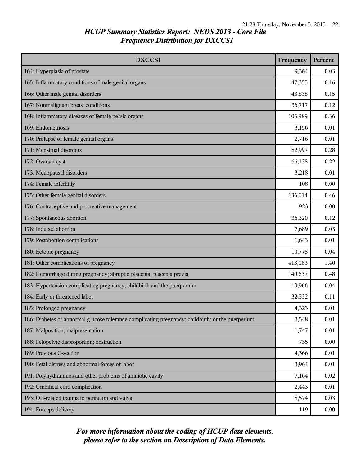| DXCCS1                                                                                            | Frequency | Percent |
|---------------------------------------------------------------------------------------------------|-----------|---------|
| 164: Hyperplasia of prostate                                                                      | 9,364     | 0.03    |
| 165: Inflammatory conditions of male genital organs                                               | 47,355    | 0.16    |
| 166: Other male genital disorders                                                                 | 43,838    | 0.15    |
| 167: Nonmalignant breast conditions                                                               | 36,717    | 0.12    |
| 168: Inflammatory diseases of female pelvic organs                                                | 105,989   | 0.36    |
| 169: Endometriosis                                                                                | 3,156     | 0.01    |
| 170: Prolapse of female genital organs                                                            | 2,716     | 0.01    |
| 171: Menstrual disorders                                                                          | 82,997    | 0.28    |
| 172: Ovarian cyst                                                                                 | 66,138    | 0.22    |
| 173: Menopausal disorders                                                                         | 3,218     | 0.01    |
| 174: Female infertility                                                                           | 108       | 0.00    |
| 175: Other female genital disorders                                                               | 136,014   | 0.46    |
| 176: Contraceptive and procreative management                                                     | 923       | 0.00    |
| 177: Spontaneous abortion                                                                         | 36,320    | 0.12    |
| 178: Induced abortion                                                                             | 7,689     | 0.03    |
| 179: Postabortion complications                                                                   | 1,643     | 0.01    |
| 180: Ectopic pregnancy                                                                            | 10,778    | 0.04    |
| 181: Other complications of pregnancy                                                             | 413,063   | 1.40    |
| 182: Hemorrhage during pregnancy; abruptio placenta; placenta previa                              | 140,637   | 0.48    |
| 183: Hypertension complicating pregnancy; childbirth and the puerperium                           | 10,966    | 0.04    |
| 184: Early or threatened labor                                                                    | 32,532    | 0.11    |
| 185: Prolonged pregnancy                                                                          | 4,323     | 0.01    |
| 186: Diabetes or abnormal glucose tolerance complicating pregnancy; childbirth; or the puerperium | 3,548     | 0.01    |
| 187: Malposition; malpresentation                                                                 | 1,747     | 0.01    |
| 188: Fetopelvic disproportion; obstruction                                                        | 735       | 0.00    |
| 189: Previous C-section                                                                           | 4,366     | 0.01    |
| 190: Fetal distress and abnormal forces of labor                                                  | 3,964     | 0.01    |
| 191: Polyhydramnios and other problems of amniotic cavity                                         | 7,164     | 0.02    |
| 192: Umbilical cord complication                                                                  | 2,443     | 0.01    |
| 193: OB-related trauma to perineum and vulva                                                      | 8,574     | 0.03    |
| 194: Forceps delivery                                                                             | 119       | 0.00    |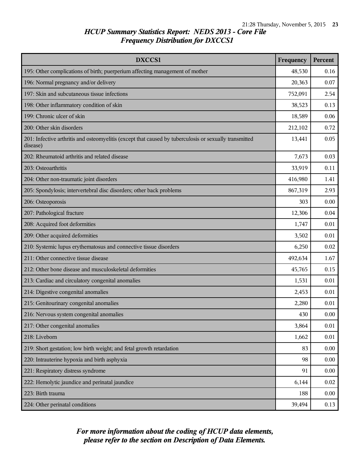| DXCCS1                                                                                                             | Frequency | Percent  |
|--------------------------------------------------------------------------------------------------------------------|-----------|----------|
| 195: Other complications of birth; puerperium affecting management of mother                                       | 48,530    | 0.16     |
| 196: Normal pregnancy and/or delivery                                                                              | 20,363    | 0.07     |
| 197: Skin and subcutaneous tissue infections                                                                       | 752,091   | 2.54     |
| 198: Other inflammatory condition of skin                                                                          | 38,523    | 0.13     |
| 199: Chronic ulcer of skin                                                                                         | 18,589    | 0.06     |
| 200: Other skin disorders                                                                                          | 212,102   | 0.72     |
| 201: Infective arthritis and osteomyelitis (except that caused by tuberculosis or sexually transmitted<br>disease) | 13,441    | 0.05     |
| 202: Rheumatoid arthritis and related disease                                                                      | 7,673     | 0.03     |
| 203: Osteoarthritis                                                                                                | 33,919    | 0.11     |
| 204: Other non-traumatic joint disorders                                                                           | 416,980   | 1.41     |
| 205: Spondylosis; intervertebral disc disorders; other back problems                                               | 867,319   | 2.93     |
| 206: Osteoporosis                                                                                                  | 303       | 0.00     |
| 207: Pathological fracture                                                                                         | 12,306    | 0.04     |
| 208: Acquired foot deformities                                                                                     | 1,747     | 0.01     |
| 209: Other acquired deformities                                                                                    | 3,502     | 0.01     |
| 210: Systemic lupus erythematosus and connective tissue disorders                                                  | 6,250     | 0.02     |
| 211: Other connective tissue disease                                                                               | 492,634   | 1.67     |
| 212: Other bone disease and musculoskeletal deformities                                                            | 45,765    | 0.15     |
| 213: Cardiac and circulatory congenital anomalies                                                                  | 1,531     | 0.01     |
| 214: Digestive congenital anomalies                                                                                | 2,453     | 0.01     |
| 215: Genitourinary congenital anomalies                                                                            | 2,280     | 0.01     |
| 216: Nervous system congenital anomalies                                                                           | 430       | $0.00\,$ |
| 217: Other congenital anomalies                                                                                    | 3,864     | 0.01     |
| 218: Liveborn                                                                                                      | 1,662     | 0.01     |
| 219: Short gestation; low birth weight; and fetal growth retardation                                               | 83        | 0.00     |
| 220: Intrauterine hypoxia and birth asphyxia                                                                       | 98        | 0.00     |
| 221: Respiratory distress syndrome                                                                                 | 91        | 0.00     |
| 222: Hemolytic jaundice and perinatal jaundice                                                                     | 6,144     | 0.02     |
| 223: Birth trauma                                                                                                  | 188       | 0.00     |
| 224: Other perinatal conditions                                                                                    | 39,494    | 0.13     |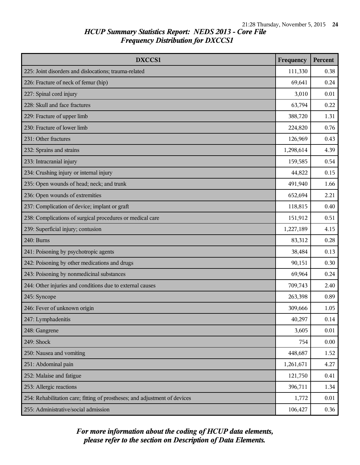| DXCCS1                                                                     | Frequency | <b>Percent</b> |
|----------------------------------------------------------------------------|-----------|----------------|
| 225: Joint disorders and dislocations; trauma-related                      | 111,330   | 0.38           |
| 226: Fracture of neck of femur (hip)                                       | 69,641    | 0.24           |
| 227: Spinal cord injury                                                    | 3,010     | 0.01           |
| 228: Skull and face fractures                                              | 63,794    | 0.22           |
| 229: Fracture of upper limb                                                | 388,720   | 1.31           |
| 230: Fracture of lower limb                                                | 224,820   | 0.76           |
| 231: Other fractures                                                       | 126,969   | 0.43           |
| 232: Sprains and strains                                                   | 1,298,614 | 4.39           |
| 233: Intracranial injury                                                   | 159,585   | 0.54           |
| 234: Crushing injury or internal injury                                    | 44,822    | 0.15           |
| 235: Open wounds of head; neck; and trunk                                  | 491,940   | 1.66           |
| 236: Open wounds of extremities                                            | 652,694   | 2.21           |
| 237: Complication of device; implant or graft                              | 118,815   | 0.40           |
| 238: Complications of surgical procedures or medical care                  | 151,912   | 0.51           |
| 239: Superficial injury; contusion                                         | 1,227,189 | 4.15           |
| 240: Burns                                                                 | 83,312    | 0.28           |
| 241: Poisoning by psychotropic agents                                      | 38,484    | 0.13           |
| 242: Poisoning by other medications and drugs                              | 90,151    | 0.30           |
| 243: Poisoning by nonmedicinal substances                                  | 69,964    | 0.24           |
| 244: Other injuries and conditions due to external causes                  | 709,743   | 2.40           |
| 245: Syncope                                                               | 263,398   | 0.89           |
| 246: Fever of unknown origin                                               | 309,666   | 1.05           |
| 247: Lymphadenitis                                                         | 40,297    | 0.14           |
| 248: Gangrene                                                              | 3,605     | 0.01           |
| 249: Shock                                                                 | 754       | 0.00           |
| 250: Nausea and vomiting                                                   | 448,687   | 1.52           |
| 251: Abdominal pain                                                        | 1,261,671 | 4.27           |
| 252: Malaise and fatigue                                                   | 121,750   | 0.41           |
| 253: Allergic reactions                                                    | 396,711   | 1.34           |
| 254: Rehabilitation care; fitting of prostheses; and adjustment of devices | 1,772     | 0.01           |
| 255: Administrative/social admission                                       | 106,427   | 0.36           |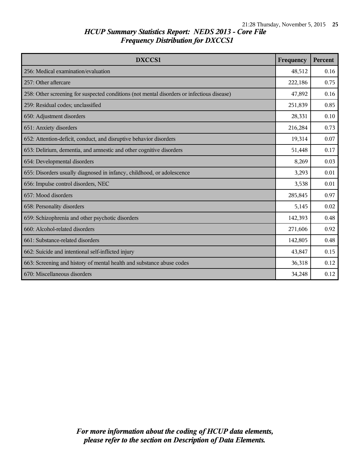| <b>DXCCS1</b>                                                                              | Frequency | <b>Percent</b> |
|--------------------------------------------------------------------------------------------|-----------|----------------|
| 256: Medical examination/evaluation                                                        | 48,512    | 0.16           |
| 257: Other aftercare                                                                       | 222,186   | 0.75           |
| 258: Other screening for suspected conditions (not mental disorders or infectious disease) | 47,892    | 0.16           |
| 259: Residual codes; unclassified                                                          | 251,839   | 0.85           |
| 650: Adjustment disorders                                                                  | 28,331    | 0.10           |
| 651: Anxiety disorders                                                                     | 216,284   | 0.73           |
| 652: Attention-deficit, conduct, and disruptive behavior disorders                         | 19,314    | 0.07           |
| 653: Delirium, dementia, and amnestic and other cognitive disorders                        | 51,448    | 0.17           |
| 654: Developmental disorders                                                               | 8,269     | 0.03           |
| 655: Disorders usually diagnosed in infancy, childhood, or adolescence                     | 3,293     | 0.01           |
| 656: Impulse control disorders, NEC                                                        | 3,538     | 0.01           |
| 657: Mood disorders                                                                        | 285,845   | 0.97           |
| 658: Personality disorders                                                                 | 5,145     | 0.02           |
| 659: Schizophrenia and other psychotic disorders                                           | 142,393   | 0.48           |
| 660: Alcohol-related disorders                                                             | 271,606   | 0.92           |
| 661: Substance-related disorders                                                           | 142,805   | 0.48           |
| 662: Suicide and intentional self-inflicted injury                                         | 43,847    | 0.15           |
| 663: Screening and history of mental health and substance abuse codes                      | 36,318    | 0.12           |
| 670: Miscellaneous disorders                                                               | 34,248    | 0.12           |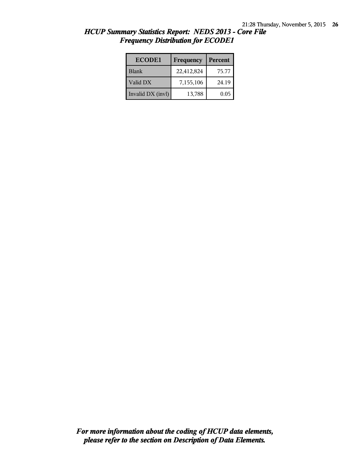| <b>ECODE1</b>     | Frequency  | Percent |
|-------------------|------------|---------|
| <b>Blank</b>      | 22,412,824 | 75.77   |
| Valid DX          | 7,155,106  | 24.19   |
| Invalid DX (invl) | 13,788     | 0.05    |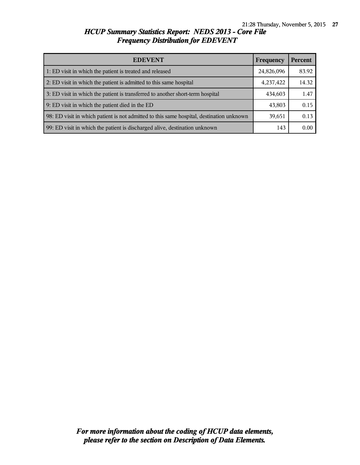| <b>EDEVENT</b>                                                                           | Frequency  | Percent |
|------------------------------------------------------------------------------------------|------------|---------|
| 1: ED visit in which the patient is treated and released                                 | 24,826,096 | 83.92   |
| 2: ED visit in which the patient is admitted to this same hospital                       | 4,237,422  | 14.32   |
| 3: ED visit in which the patient is transferred to another short-term hospital           | 434,603    | 1.47    |
| 9: ED visit in which the patient died in the ED                                          | 43,803     | 0.15    |
| 98: ED visit in which patient is not admitted to this same hospital, destination unknown | 39,651     | 0.13    |
| 99: ED visit in which the patient is discharged alive, destination unknown               | 143        | 0.00    |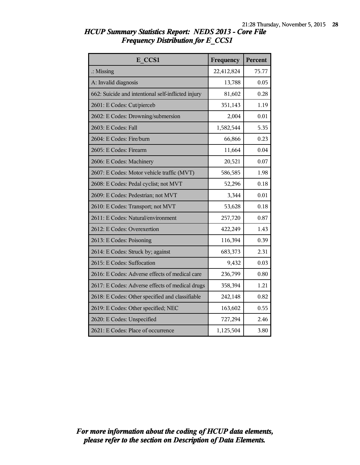| E CCS1                                             | Frequency  | Percent |
|----------------------------------------------------|------------|---------|
| $\therefore$ Missing                               | 22,412,824 | 75.77   |
| A: Invalid diagnosis                               | 13,788     | 0.05    |
| 662: Suicide and intentional self-inflicted injury | 81,602     | 0.28    |
| 2601: E Codes: Cut/pierceb                         | 351,143    | 1.19    |
| 2602: E Codes: Drowning/submersion                 | 2,004      | 0.01    |
| 2603: E Codes: Fall                                | 1,582,544  | 5.35    |
| 2604: E Codes: Fire/burn                           | 66,866     | 0.23    |
| 2605: E Codes: Firearm                             | 11,664     | 0.04    |
| 2606: E Codes: Machinery                           | 20,521     | 0.07    |
| 2607: E Codes: Motor vehicle traffic (MVT)         | 586,585    | 1.98    |
| 2608: E Codes: Pedal cyclist; not MVT              | 52,296     | 0.18    |
| 2609: E Codes: Pedestrian; not MVT                 | 3,344      | 0.01    |
| 2610: E Codes: Transport; not MVT                  | 53,628     | 0.18    |
| 2611: E Codes: Natural/environment                 | 257,720    | 0.87    |
| 2612: E Codes: Overexertion                        | 422,249    | 1.43    |
| 2613: E Codes: Poisoning                           | 116,394    | 0.39    |
| 2614: E Codes: Struck by; against                  | 683,373    | 2.31    |
| 2615: E Codes: Suffocation                         | 9,432      | 0.03    |
| 2616: E Codes: Adverse effects of medical care     | 236,799    | 0.80    |
| 2617: E Codes: Adverse effects of medical drugs    | 358,394    | 1.21    |
| 2618: E Codes: Other specified and classifiable    | 242,148    | 0.82    |
| 2619: E Codes: Other specified; NEC                | 163,602    | 0.55    |
| 2620: E Codes: Unspecified                         | 727,294    | 2.46    |
| 2621: E Codes: Place of occurrence                 | 1,125,504  | 3.80    |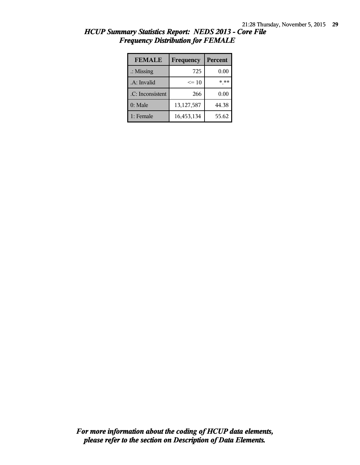| <b>FEMALE</b>        | Frequency  | Percent |
|----------------------|------------|---------|
| $\therefore$ Missing | 725        | 0.00    |
| .A: Invalid          | $\leq 10$  | * **    |
| .C: Inconsistent     | 266        | 0.00    |
| $0:$ Male            | 13,127,587 | 44.38   |
| 1: Female            | 16,453,134 | 55.62   |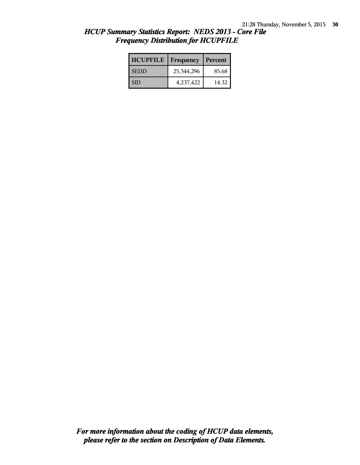| HCUP Summary Statistics Report: NEDS 2013 - Core File |  |
|-------------------------------------------------------|--|
| <b>Frequency Distribution for HCUPFILE</b>            |  |

| <b>HCUPFILE</b> | Frequency  | Percent |
|-----------------|------------|---------|
| <b>SEDD</b>     | 25,344,296 | 85.68   |
| <b>SID</b>      | 4,237,422  | 14.32   |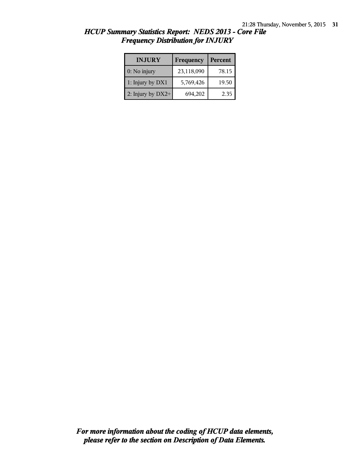| <b>INJURY</b>       | Frequency  | Percent |
|---------------------|------------|---------|
| $0:$ No injury      | 23,118,090 | 78.15   |
| 1: Injury by DX1    | 5,769,426  | 19.50   |
| 2: Injury by $DX2+$ | 694,202    | 2.35    |

| <b>HCUP Summary Statistics Report: NEDS 2013 - Core File</b> |  |
|--------------------------------------------------------------|--|
| <b>Frequency Distribution for INJURY</b>                     |  |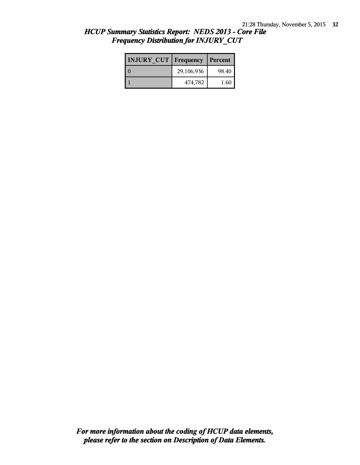| <b>INJURY CUT   Frequency</b> |            | Percent |
|-------------------------------|------------|---------|
|                               | 29,106,936 | 98.40   |
|                               | 474,782    | 1.60    |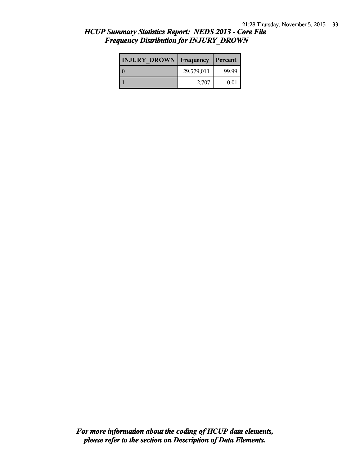| <b>INJURY DROWN</b> Frequency |            | Percent |
|-------------------------------|------------|---------|
|                               | 29,579,011 | 99.99   |
|                               | 2,707      | 0.01    |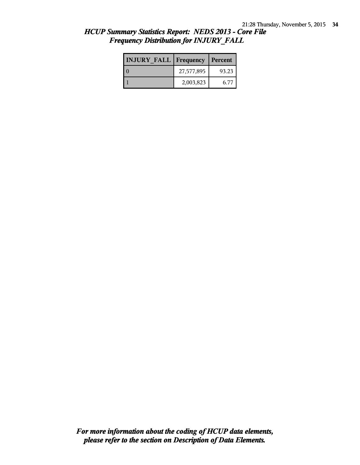| <b>INJURY FALL Frequency</b> |            | Percent |
|------------------------------|------------|---------|
|                              | 27,577,895 | 93.23   |
|                              | 2,003,823  | 6.77    |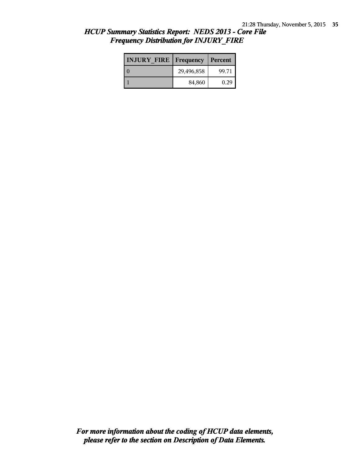| <b>INJURY FIRE   Frequency</b> |            | Percent |
|--------------------------------|------------|---------|
|                                | 29,496,858 | 99.71   |
|                                | 84,860     | 0.29    |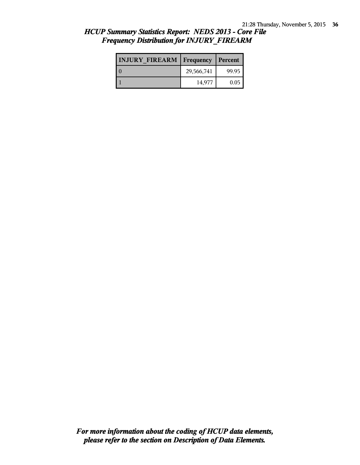| <b>INJURY FIREARM   Frequency   Percent  </b> |            |       |
|-----------------------------------------------|------------|-------|
|                                               | 29,566,741 | 99.95 |
|                                               | 14,977     | 0.05  |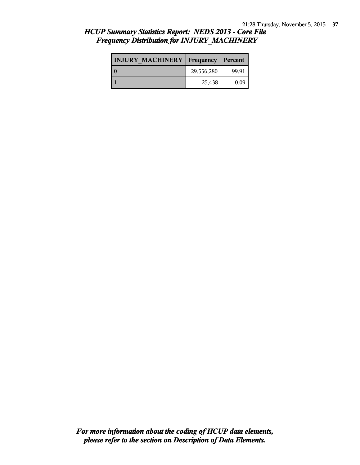| <b>INJURY MACHINERY   Frequency</b> |            | Percent |
|-------------------------------------|------------|---------|
|                                     | 29,556,280 | 99.91   |
|                                     | 25,438     | 0.09    |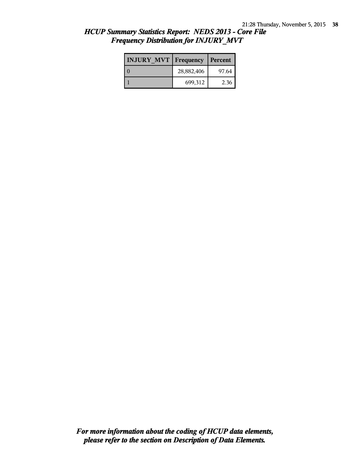| <b>INJURY MVT   Frequency</b> |            | Percent |
|-------------------------------|------------|---------|
|                               | 28,882,406 | 97.64   |
|                               | 699,312    | 2.36    |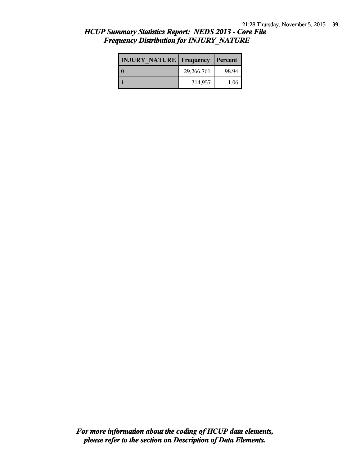| <b>INJURY NATURE   Frequency</b> |            | Percent |
|----------------------------------|------------|---------|
|                                  | 29,266,761 | 98.94   |
|                                  | 314,957    | 1.06    |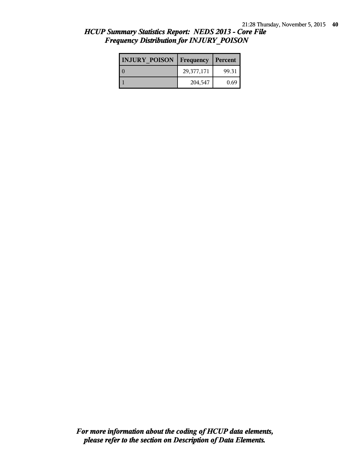| <b>INJURY POISON Frequency</b> |            | Percent |
|--------------------------------|------------|---------|
|                                | 29,377,171 | 99.31   |
|                                | 204,547    | 0.69    |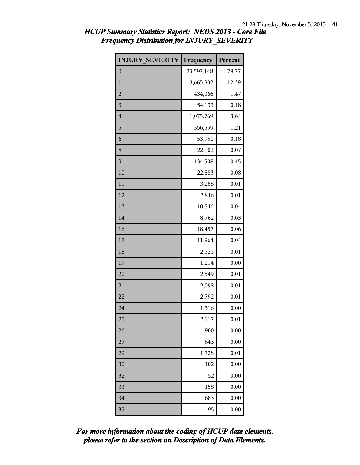| <b>INJURY SEVERITY</b> | Frequency  | Percent |
|------------------------|------------|---------|
| $\boldsymbol{0}$       | 23,597,148 | 79.77   |
| $\mathbf{1}$           | 3,665,802  | 12.39   |
| $\overline{2}$         | 434,066    | 1.47    |
| 3                      | 54,133     | 0.18    |
| $\overline{4}$         | 1,075,769  | 3.64    |
| 5                      | 356,559    | 1.21    |
| 6                      | 53,950     | 0.18    |
| 8                      | 22,102     | 0.07    |
| 9                      | 134,508    | 0.45    |
| 10                     | 22,883     | 0.08    |
| 11                     | 3,288      | 0.01    |
| 12                     | 2,846      | 0.01    |
| 13                     | 10,746     | 0.04    |
| 14                     | 8,762      | 0.03    |
| 16                     | 18,457     | 0.06    |
| 17                     | 11,964     | 0.04    |
| 18                     | 2,525      | 0.01    |
| 19                     | 1,214      | 0.00    |
| 20                     | 2,549      | 0.01    |
| 21                     | 2,098      | 0.01    |
| 22                     | 2,792      | 0.01    |
| 24                     | 1,316      | 0.00    |
| 25                     | 2,117      | 0.01    |
| 26                     | 900        | 0.00    |
| 27                     | 643        | 0.00    |
| 29                     | 1,728      | 0.01    |
| 30                     | 102        | 0.00    |
| $\overline{32}$        | 52         | 0.00    |
| 33                     | 158        | 0.00    |
| 34                     | 683        | 0.00    |
| 35                     | 95         | 0.00    |

*please refer to the section on Description of Data Elements. For more information about the coding of HCUP data elements,*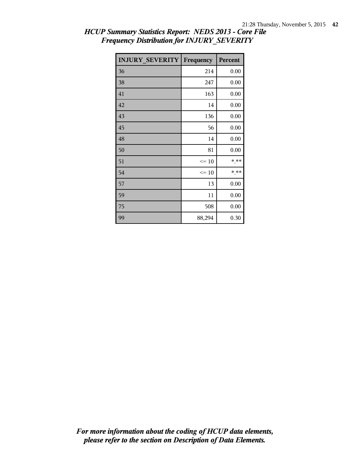| <b>INJURY SEVERITY</b> | Frequency | Percent |
|------------------------|-----------|---------|
| 36                     | 214       | 0.00    |
| 38                     | 247       | 0.00    |
| 41                     | 163       | 0.00    |
| 42                     | 14        | 0.00    |
| 43                     | 136       | 0.00    |
| 45                     | 56        | 0.00    |
| 48                     | 14        | 0.00    |
| 50                     | 81        | 0.00    |
| 51                     | $\leq$ 10 | * **    |
| 54                     | $\leq$ 10 | * **    |
| 57                     | 13        | 0.00    |
| 59                     | 11        | 0.00    |
| 75                     | 508       | 0.00    |
| 99                     | 88,294    | 0.30    |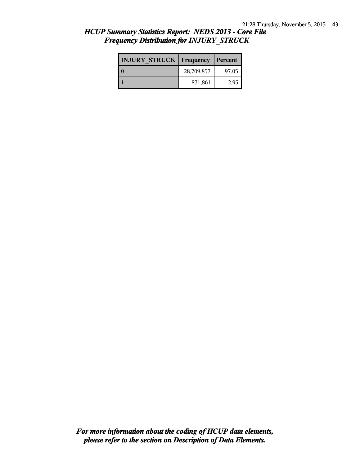| <b>INJURY STRUCK   Frequency</b> |            | Percent |
|----------------------------------|------------|---------|
|                                  | 28,709,857 | 97.05   |
|                                  | 871,861    | 2.95    |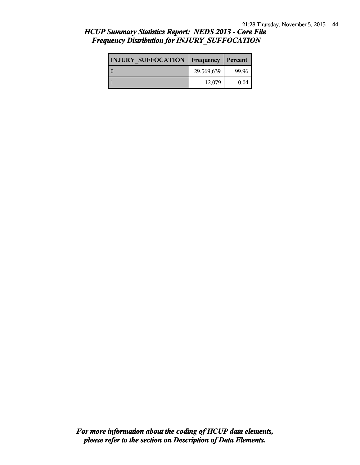| <b>INJURY SUFFOCATION   Frequency   Percent  </b> |            |       |
|---------------------------------------------------|------------|-------|
|                                                   | 29,569,639 | 99.96 |
|                                                   | 12,079     | 0.04  |

# *HCUP Summary Statistics Report: NEDS 2013 - Core File Frequency Distribution for INJURY\_SUFFOCATION*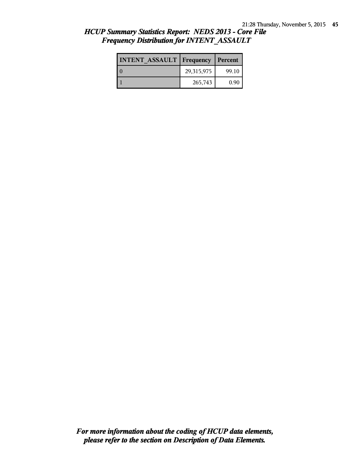| <b>INTENT ASSAULT   Frequency   Percent  </b> |            |       |
|-----------------------------------------------|------------|-------|
| ıο                                            | 29,315,975 | 99.10 |
|                                               | 265,743    | 0.90  |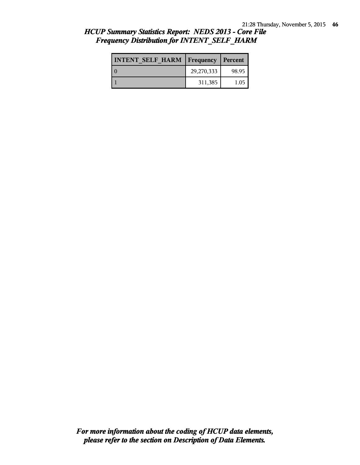| <b>INTENT SELF HARM   Frequency</b> |            | Percent |
|-------------------------------------|------------|---------|
|                                     | 29,270,333 | 98.95   |
|                                     | 311,385    | 1.05    |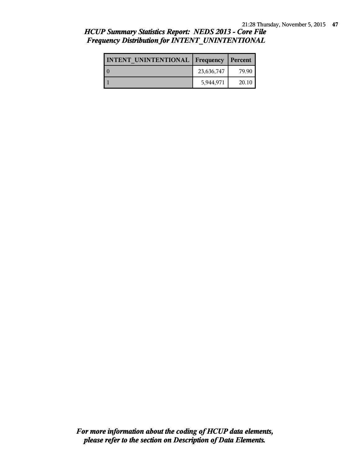| <b>INTENT UNINTENTIONAL Frequency</b> |            | Percent |
|---------------------------------------|------------|---------|
|                                       | 23,636,747 | 79.90   |
|                                       | 5,944,971  | 20.10   |

# *HCUP Summary Statistics Report: NEDS 2013 - Core File Frequency Distribution for INTENT\_UNINTENTIONAL*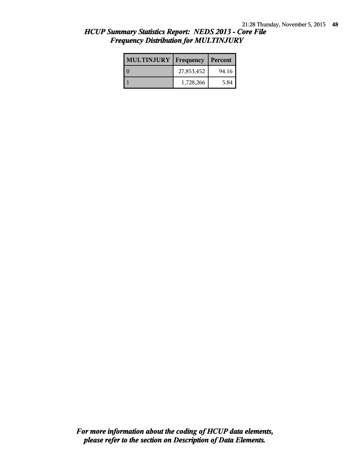| <b>MULTINJURY</b> | Frequency  | Percent |
|-------------------|------------|---------|
|                   | 27,853,452 | 94.16   |
|                   | 1,728,266  | 5.84    |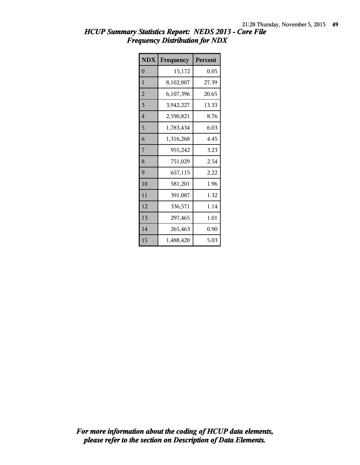| <b>NDX</b>     | Frequency | Percent |
|----------------|-----------|---------|
| $\overline{0}$ | 15,172    | 0.05    |
| 1              | 8,102,807 | 27.39   |
| $\overline{2}$ | 6,107,396 | 20.65   |
| 3              | 3,942,227 | 13.33   |
| $\overline{4}$ | 2,590,821 | 8.76    |
| 5              | 1,783,434 | 6.03    |
| 6              | 1,316,268 | 4.45    |
| 7              | 955,242   | 3.23    |
| 8              | 751,029   | 2.54    |
| 9              | 657,115   | 2.22    |
| 10             | 581,201   | 1.96    |
| 11             | 391,087   | 1.32    |
| 12             | 336,571   | 1.14    |
| 13             | 297,465   | 1.01    |
| 14             | 265,463   | 0.90    |
| 15             | 1,488,420 | 5.03    |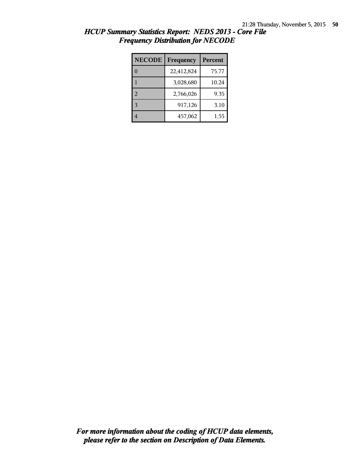| <b>NECODE</b> | <b>Percent</b><br>Frequency |       |
|---------------|-----------------------------|-------|
|               | 22,412,824                  | 75.77 |
|               | 3,028,680                   | 10.24 |
| 2             | 2,766,026                   | 9.35  |
|               | 917,126                     | 3.10  |
|               | 457,062                     | 1.55  |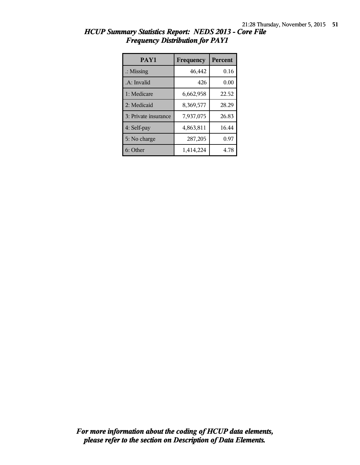| PAY1                 | Frequency | <b>Percent</b> |
|----------------------|-----------|----------------|
| $\therefore$ Missing | 46,442    | 0.16           |
| .A: Invalid          | 426       | 0.00           |
| 1: Medicare          | 6,662,958 | 22.52          |
| 2: Medicaid          | 8,369,577 | 28.29          |
| 3: Private insurance | 7,937,075 | 26.83          |
| 4: Self-pay          | 4,863,811 | 16.44          |
| 5: No charge         | 287,205   | 0.97           |
| 6: Other             | 1,414,224 | 4.78           |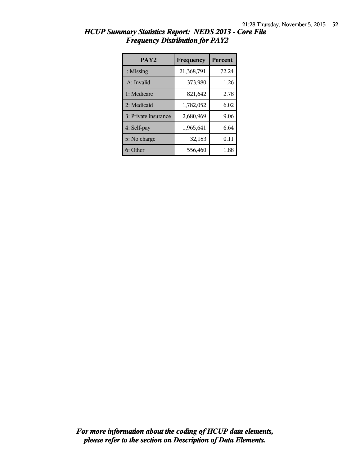| PAY <sub>2</sub>     | Frequency  | <b>Percent</b> |
|----------------------|------------|----------------|
| $\therefore$ Missing | 21,368,791 | 72.24          |
| .A: Invalid          | 373,980    | 1.26           |
| 1: Medicare          | 821,642    | 2.78           |
| 2: Medicaid          | 1,782,052  | 6.02           |
| 3: Private insurance | 2,680,969  | 9.06           |
| 4: Self-pay          | 1,965,641  | 6.64           |
| 5: No charge         | 32,183     | 0.11           |
| 6: Other             | 556,460    | 1.88           |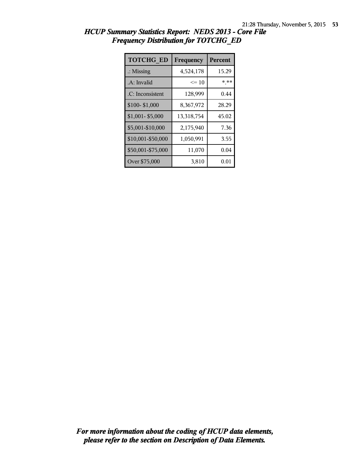| <b>TOTCHG_ED</b>     | Frequency  | <b>Percent</b> |
|----------------------|------------|----------------|
| $\therefore$ Missing | 4,524,178  | 15.29          |
| .A: Invalid          | $\leq 10$  | * **           |
| .C: Inconsistent     | 128,999    | 0.44           |
| \$100-\$1,000        | 8,367,972  | 28.29          |
| \$1,001-\$5,000      | 13,318,754 | 45.02          |
| \$5,001-\$10,000     | 2,175,940  | 7.36           |
| \$10,001-\$50,000    | 1,050,991  | 3.55           |
| \$50,001-\$75,000    | 11,070     | 0.04           |
| Over \$75,000        | 3,810      | $0.01\,$       |

| HCUP Summary Statistics Report: NEDS 2013 - Core File |  |
|-------------------------------------------------------|--|
| <b>Frequency Distribution for TOTCHG ED</b>           |  |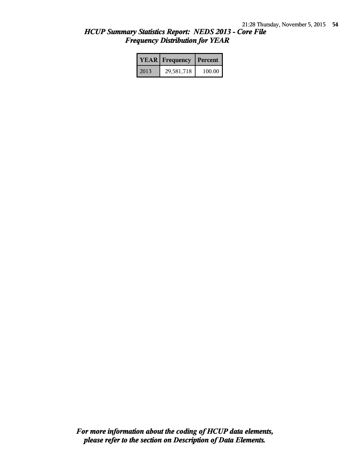|      | <b>YEAR</b> Frequency | Percent |
|------|-----------------------|---------|
| 2013 | 29,581,718            | 100.00  |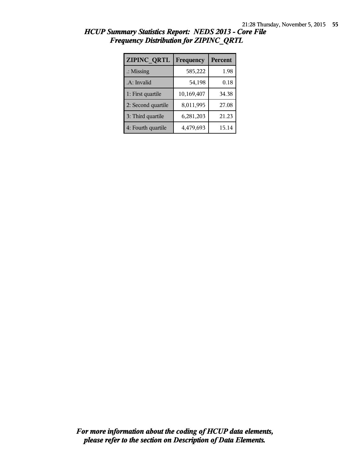| <b>ZIPINC QRTL</b>   | Frequency  | <b>Percent</b> |
|----------------------|------------|----------------|
| $\therefore$ Missing | 585,222    | 1.98           |
| .A: Invalid          | 54,198     | 0.18           |
| 1: First quartile    | 10,169,407 | 34.38          |
| 2: Second quartile   | 8,011,995  | 27.08          |
| 3: Third quartile    | 6,281,203  | 21.23          |
| 4: Fourth quartile   | 4,479,693  | 15.14          |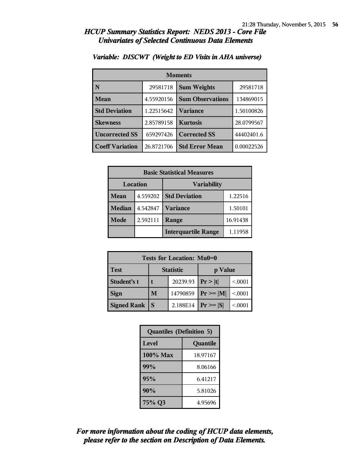| <b>Moments</b>         |            |                         |            |
|------------------------|------------|-------------------------|------------|
| N                      | 29581718   | <b>Sum Weights</b>      | 29581718   |
| Mean                   | 4.55920156 | <b>Sum Observations</b> | 134869015  |
| <b>Std Deviation</b>   | 1.22515642 | Variance                | 1.50100826 |
| <b>Skewness</b>        | 2.85789158 | <b>Kurtosis</b>         | 28.0799567 |
| <b>Uncorrected SS</b>  | 659297426  | <b>Corrected SS</b>     | 44402401.6 |
| <b>Coeff Variation</b> | 26.8721706 | <b>Std Error Mean</b>   | 0.00022526 |

#### *Variable: DISCWT (Weight to ED Visits in AHA universe)*

| <b>Basic Statistical Measures</b> |          |                            |          |  |
|-----------------------------------|----------|----------------------------|----------|--|
| Location<br><b>Variability</b>    |          |                            |          |  |
| Mean                              | 4.559202 | <b>Std Deviation</b>       | 1.22516  |  |
| <b>Median</b>                     | 4.542847 | <b>Variance</b>            | 1.50101  |  |
| Mode                              | 2.592111 | Range                      | 16.91438 |  |
|                                   |          | <b>Interquartile Range</b> | 1.11958  |  |

| <b>Tests for Location: Mu0=0</b> |                             |          |               |        |  |  |
|----------------------------------|-----------------------------|----------|---------------|--------|--|--|
| <b>Test</b>                      | <b>Statistic</b><br>p Value |          |               |        |  |  |
| Student's t                      | 20239.93                    |          | Pr >  t       | < 0001 |  |  |
| <b>Sign</b>                      | M                           | 14790859 | $Pr \geq  M $ | < 0001 |  |  |
| <b>Signed Rank</b>               | S                           | 2.188E14 | $Pr \geq  S $ | < 0001 |  |  |

| <b>Quantiles (Definition 5)</b> |          |  |
|---------------------------------|----------|--|
| Level                           | Quantile |  |
| $100\%$ Max                     | 18.97167 |  |
| 99%                             | 8.06166  |  |
| 95%                             | 6.41217  |  |
| 90%                             | 5.81026  |  |
| 75% Q3                          | 4.95696  |  |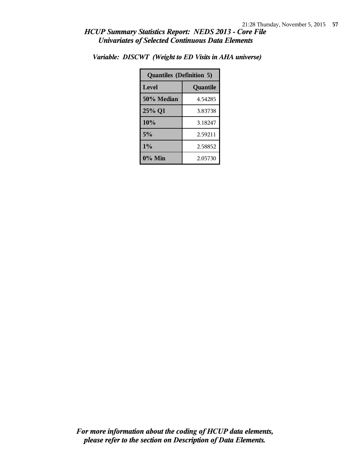| <b>Quantiles (Definition 5)</b> |          |  |
|---------------------------------|----------|--|
| Level                           | Quantile |  |
| 50% Median                      | 4.54285  |  |
| 25% Q1                          | 3.83738  |  |
| 10%                             | 3.18247  |  |
| 5%                              | 2.59211  |  |
| $1\%$                           | 2.58852  |  |
| $0\%$ Min                       | 2.05730  |  |

*Variable: DISCWT (Weight to ED Visits in AHA universe)*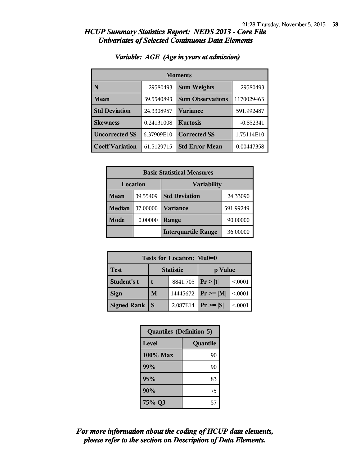| <b>Moments</b>         |            |                         |             |  |
|------------------------|------------|-------------------------|-------------|--|
| N                      | 29580493   | <b>Sum Weights</b>      | 29580493    |  |
| <b>Mean</b>            | 39.5540893 | <b>Sum Observations</b> | 1170029463  |  |
| <b>Std Deviation</b>   | 24.3308957 | Variance                | 591.992487  |  |
| <b>Skewness</b>        | 0.24131008 | <b>Kurtosis</b>         | $-0.852341$ |  |
| <b>Uncorrected SS</b>  | 6.37909E10 | <b>Corrected SS</b>     | 1.75114E10  |  |
| <b>Coeff Variation</b> | 61.5129715 | <b>Std Error Mean</b>   | 0.00447358  |  |

#### *Variable: AGE (Age in years at admission)*

| <b>Basic Statistical Measures</b> |          |                            |           |  |
|-----------------------------------|----------|----------------------------|-----------|--|
| Location<br><b>Variability</b>    |          |                            |           |  |
| Mean                              | 39.55409 | <b>Std Deviation</b>       | 24.33090  |  |
| <b>Median</b>                     | 37.00000 | Variance                   | 591.99249 |  |
| Mode                              | 0.00000  | Range                      | 90.00000  |  |
|                                   |          | <b>Interquartile Range</b> | 36.00000  |  |

| Tests for Location: Mu0=0 |                             |          |                               |        |  |  |
|---------------------------|-----------------------------|----------|-------------------------------|--------|--|--|
| <b>Test</b>               | <b>Statistic</b><br>p Value |          |                               |        |  |  |
| Student's t               | 8841.705   $Pr >  t $       |          |                               | < 0001 |  |  |
| <b>Sign</b>               | M<br>14445672               |          | $\mathbf{Pr} \geq \mathbf{M}$ | < 0001 |  |  |
| <b>Signed Rank</b>        | S                           | 2.087E14 | $Pr \geq  S $                 | < 0001 |  |  |

| <b>Quantiles (Definition 5)</b> |          |  |
|---------------------------------|----------|--|
| <b>Level</b>                    | Quantile |  |
| $100\%$ Max                     | 90       |  |
| 99%                             | 90       |  |
| 95%                             | 83       |  |
| 90%                             | 75       |  |
| 75% Q3                          | 57       |  |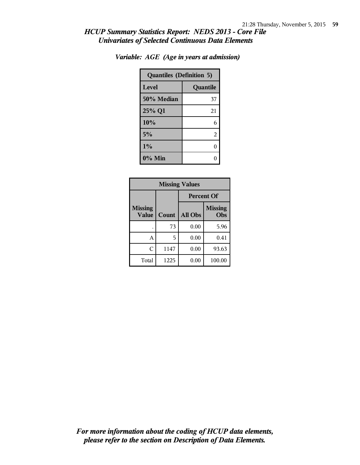| <b>Quantiles (Definition 5)</b> |          |  |
|---------------------------------|----------|--|
| Level                           | Quantile |  |
| 50% Median                      | 37       |  |
| 25% Q1                          | 21       |  |
| 10%                             | 6        |  |
| 5%                              | 2        |  |
| 1%                              | 0        |  |
| $0\%$ Min                       |          |  |

| <b>Missing Values</b>          |       |                   |                       |  |  |
|--------------------------------|-------|-------------------|-----------------------|--|--|
|                                |       | <b>Percent Of</b> |                       |  |  |
| <b>Missing</b><br><b>Value</b> | Count | All Obs           | <b>Missing</b><br>Obs |  |  |
|                                | 73    | 0.00              | 5.96                  |  |  |
| A                              | 5     | 0.00              | 0.41                  |  |  |
| Ċ                              | 1147  | 0.00              | 93.63                 |  |  |
| Total                          | 1225  | 0.00              | 100.00                |  |  |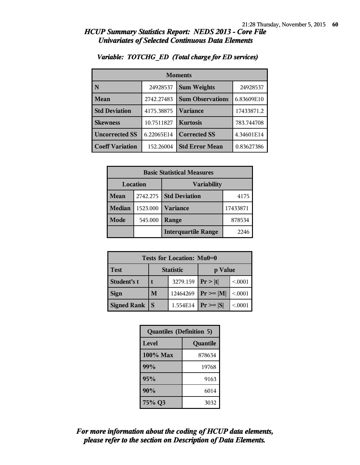| <b>Moments</b>         |            |                         |            |  |
|------------------------|------------|-------------------------|------------|--|
| N                      | 24928537   | <b>Sum Weights</b>      | 24928537   |  |
| Mean                   | 2742.27483 | <b>Sum Observations</b> | 6.83609E10 |  |
| <b>Std Deviation</b>   | 4175.38875 | <b>Variance</b>         | 17433871.2 |  |
| <b>Skewness</b>        | 10.7511827 | <b>Kurtosis</b>         | 783.744708 |  |
| <b>Uncorrected SS</b>  | 6.22065E14 | <b>Corrected SS</b>     | 4.34601E14 |  |
| <b>Coeff Variation</b> | 152.26004  | <b>Std Error Mean</b>   | 0.83627386 |  |

#### *Variable: TOTCHG\_ED (Total charge for ED services)*

| <b>Basic Statistical Measures</b> |          |                            |          |  |  |
|-----------------------------------|----------|----------------------------|----------|--|--|
| Location                          |          | <b>Variability</b>         |          |  |  |
| <b>Mean</b>                       | 2742.275 | <b>Std Deviation</b>       | 4175     |  |  |
| <b>Median</b>                     | 1523.000 | <b>Variance</b>            | 17433871 |  |  |
| Mode                              | 545.000  | Range                      | 878534   |  |  |
|                                   |          | <b>Interquartile Range</b> | 2246     |  |  |

| Tests for Location: Mu0=0 |                  |          |               |        |  |  |  |
|---------------------------|------------------|----------|---------------|--------|--|--|--|
| <b>Test</b>               | <b>Statistic</b> |          | p Value       |        |  |  |  |
| Student's t               |                  | 3279.159 | Pr >  t       | < 0001 |  |  |  |
| <b>Sign</b>               | M                | 12464269 | $Pr \geq  M $ | < 0001 |  |  |  |
| <b>Signed Rank</b>        | S                | 1.554E14 | $Pr \geq  S $ | < 0001 |  |  |  |

| <b>Quantiles (Definition 5)</b> |          |  |
|---------------------------------|----------|--|
| Level                           | Quantile |  |
| 100% Max                        | 878634   |  |
| 99%                             | 19768    |  |
| 95%                             | 9163     |  |
| 90%                             | 6014     |  |
| 75% Q3                          | 3032     |  |